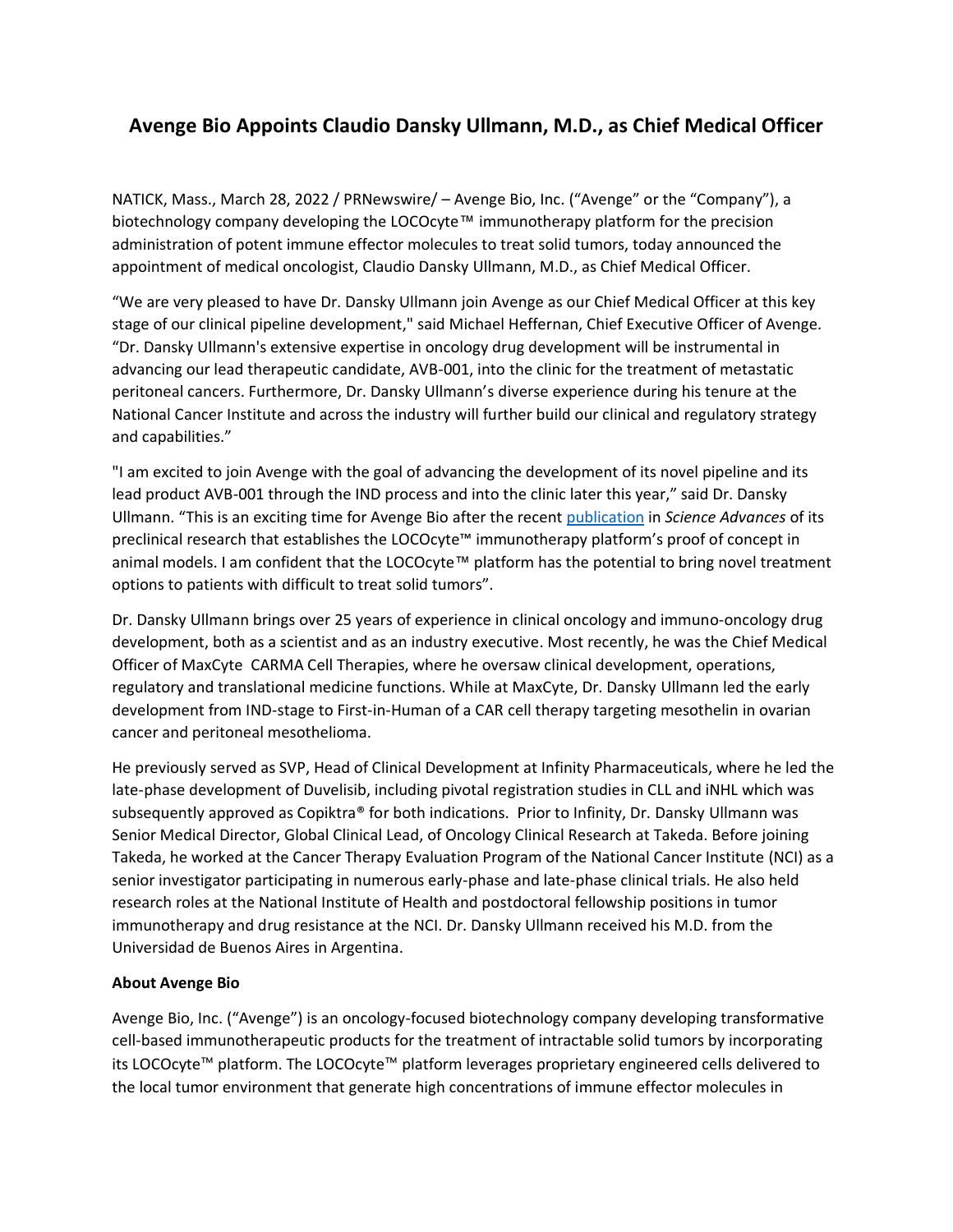## **Avenge Bio Appoints Claudio Dansky Ullmann, M.D., as Chief Medical Officer**

NATICK, Mass., March 28, 2022 / PRNewswire/ – Avenge Bio, Inc. ("Avenge" or the "Company"), a biotechnology company developing the LOCOcyte™ immunotherapy platform for the precision administration of potent immune effector molecules to treat solid tumors, today announced the appointment of medical oncologist, Claudio Dansky Ullmann, M.D., as Chief Medical Officer.

"We are very pleased to have Dr. Dansky Ullmann join Avenge as our Chief Medical Officer at this key stage of our clinical pipeline development," said Michael Heffernan, Chief Executive Officer of Avenge. "Dr. Dansky Ullmann's extensive expertise in oncology drug development will be instrumental in advancing our lead therapeutic candidate, AVB-001, into the clinic for the treatment of metastatic peritoneal cancers. Furthermore, Dr. Dansky Ullmann's diverse experience during his tenure at the National Cancer Institute and across the industry will further build our clinical and regulatory strategy and capabilities."

"I am excited to join Avenge with the goal of advancing the development of its novel pipeline and its lead product AVB-001 through the IND process and into the clinic later this year," said Dr. Dansky Ullmann. "This is an exciting time for Avenge Bio after the recent [publication](https://www.science.org/doi/10.1126/sciadv.abm1032) in *Science Advances* of its preclinical research that establishes the LOCOcyte™ immunotherapy platform's proof of concept in animal models. I am confident that the LOCOcyte™ platform has the potential to bring novel treatment options to patients with difficult to treat solid tumors".

Dr. Dansky Ullmann brings over 25 years of experience in clinical oncology and immuno-oncology drug development, both as a scientist and as an industry executive. Most recently, he was the Chief Medical Officer of MaxCyte CARMA Cell Therapies, where he oversaw clinical development, operations, regulatory and translational medicine functions. While at MaxCyte, Dr. Dansky Ullmann led the early development from IND-stage to First-in-Human of a CAR cell therapy targeting mesothelin in ovarian cancer and peritoneal mesothelioma.

He previously served as SVP, Head of Clinical Development at Infinity Pharmaceuticals, where he led the late-phase development of Duvelisib, including pivotal registration studies in CLL and iNHL which was subsequently approved as Copiktra® for both indications. Prior to Infinity, Dr. Dansky Ullmann was Senior Medical Director, Global Clinical Lead, of Oncology Clinical Research at Takeda. Before joining Takeda, he worked at the Cancer Therapy Evaluation Program of the National Cancer Institute (NCI) as a senior investigator participating in numerous early-phase and late-phase clinical trials. He also held research roles at the National Institute of Health and postdoctoral fellowship positions in tumor immunotherapy and drug resistance at the NCI. Dr. Dansky Ullmann received his M.D. from the Universidad de Buenos Aires in Argentina.

## **About Avenge Bio**

Avenge Bio, Inc. ("Avenge") is an oncology-focused biotechnology company developing transformative cell-based immunotherapeutic products for the treatment of intractable solid tumors by incorporating its LOCOcyte™ platform. The LOCOcyte™ platform leverages proprietary engineered cells delivered to the local tumor environment that generate high concentrations of immune effector molecules in